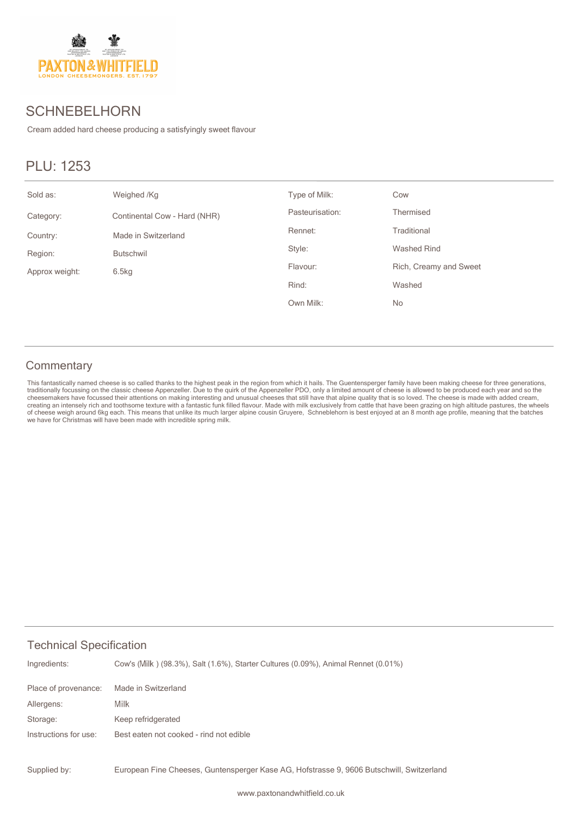

## **SCHNEBELHORN**

Cream added hard cheese producing a satisfyingly sweet flavour

# PLU: 1253

| Sold as:       | Weighed /Kg                  | Type of Milk:   | Cow                    |
|----------------|------------------------------|-----------------|------------------------|
| Category:      | Continental Cow - Hard (NHR) | Pasteurisation: | Thermised              |
| Country:       | Made in Switzerland          | Rennet:         | Traditional            |
| Region:        | <b>Butschwil</b>             | Style:          | Washed Rind            |
| Approx weight: | 6.5kg                        | Flavour:        | Rich, Creamy and Sweet |
|                |                              | Rind:           | Washed                 |
|                |                              | Own Milk:       | No                     |

#### **Commentary**

This fantastically named cheese is so called thanks to the highest peak in the region from which it hails. The Guentensperger family have been making cheese for three generations, traditionally focussing on the classic che we have for Christmas will have been made with incredible spring milk.

#### Technical Specification

| Ingredients:          | Cow's (Milk) (98.3%), Salt (1.6%), Starter Cultures (0.09%), Animal Rennet (0.01%) |
|-----------------------|------------------------------------------------------------------------------------|
| Place of provenance:  | Made in Switzerland                                                                |
| Allergens:            | Milk                                                                               |
| Storage:              | Keep refridgerated                                                                 |
| Instructions for use: | Best eaten not cooked - rind not edible                                            |
|                       |                                                                                    |

European Fine Cheeses, Guntensperger Kase AG, Hofstrasse 9, 9606 Butschwill, Switzerland Supplied by: